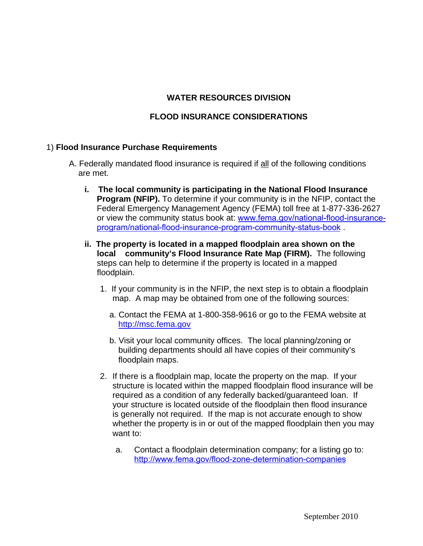## **WATER RESOURCES DIVISION**

# **FLOOD INSURANCE CONSIDERATIONS**

#### 1) **Flood Insurance Purchase Requirements**

- A. Federally mandated flood insurance is required if all of the following conditions are met.
	- **i. The local community is participating in the National Flood Insurance Program (NFIP).** To determine if your community is in the NFIP, contact the Federal Emergency Management Agency (FEMA) toll free at 1-877-336-2627 or view the community status book at: www.fema.gov/national-flood-insurance[program/national-flood-insurance-program-community-status-book](http://www.fema.gov/national-flood-insurance-program/national-flood-insurance-program-community-status-book) .
	- **ii. The property is located in a mapped floodplain area shown on the local community's Flood Insurance Rate Map (FIRM).** The following steps can help to determine if the property is located in a mapped floodplain.
		- 1. If your community is in the NFIP, the next step is to obtain a floodplain map. A map may be obtained from one of the following sources:
			- a. Contact the FEMA at 1-800-358-9616 or go to the FEMA website at [http://msc.fema.gov](http://msc.fema.gov/)
			- b. Visit your local community offices. The local planning/zoning or building departments should all have copies of their community's floodplain maps.
		- 2. If there is a floodplain map, locate the property on the map. If your structure is located within the mapped floodplain flood insurance will be required as a condition of any federally backed/guaranteed loan. If your structure is located outside of the floodplain then flood insurance is generally not required. If the map is not accurate enough to show whether the property is in or out of the mapped floodplain then you may want to:
			- a. Contact a floodplain determination company; for a listing go to: <http://www.fema.gov/flood-zone-determination-companies>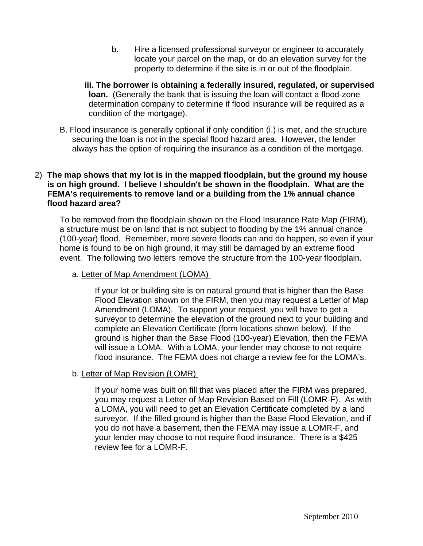- b. Hire a licensed professional surveyor or engineer to accurately locate your parcel on the map, or do an elevation survey for the property to determine if the site is in or out of the floodplain.
- **iii. The borrower is obtaining a federally insured, regulated, or supervised loan.** (Generally the bank that is issuing the loan will contact a flood-zone determination company to determine if flood insurance will be required as a condition of the mortgage).
- B. Flood insurance is generally optional if only condition (i.) is met, and the structure securing the loan is not in the special flood hazard area. However, the lender always has the option of requiring the insurance as a condition of the mortgage.

### 2) **The map shows that my lot is in the mapped floodplain, but the ground my house is on high ground. I believe I shouldn't be shown in the floodplain. What are the FEMA's requirements to remove land or a building from the 1% annual chance flood hazard area?**

To be removed from the floodplain shown on the Flood Insurance Rate Map (FIRM), a structure must be on land that is not subject to flooding by the 1% annual chance (100-year) flood. Remember, more severe floods can and do happen, so even if your home is found to be on high ground, it may still be damaged by an extreme flood event. The following two letters remove the structure from the 100-year floodplain.

#### a. Letter of Map Amendment (LOMA)

If your lot or building site is on natural ground that is higher than the Base Flood Elevation shown on the FIRM, then you may request a Letter of Map Amendment (LOMA). To support your request, you will have to get a surveyor to determine the elevation of the ground next to your building and complete an Elevation Certificate (form locations shown below). If the ground is higher than the Base Flood (100-year) Elevation, then the FEMA will issue a LOMA. With a LOMA, your lender may choose to not require flood insurance. The FEMA does not charge a review fee for the LOMA's.

### b. Letter of Map Revision (LOMR)

If your home was built on fill that was placed after the FIRM was prepared, you may request a Letter of Map Revision Based on Fill (LOMR-F). As with a LOMA, you will need to get an Elevation Certificate completed by a land surveyor. If the filled ground is higher than the Base Flood Elevation, and if you do not have a basement, then the FEMA may issue a LOMR-F, and your lender may choose to not require flood insurance. There is a \$425 review fee for a LOMR-F.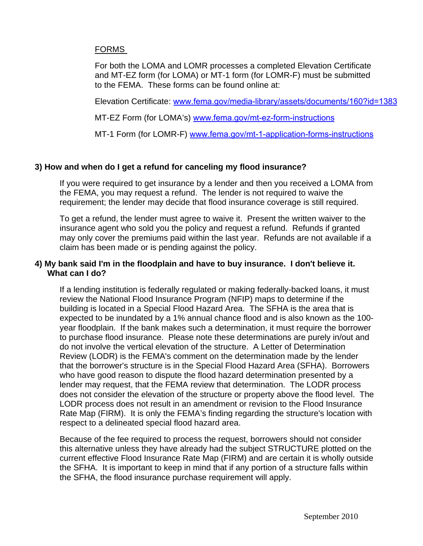# FORMS

For both the LOMA and LOMR processes a completed Elevation Certificate and MT-EZ form (for LOMA) or MT-1 form (for LOMR-F) must be submitted to the FEMA. These forms can be found online at:

Elevation Certificate: [www.fema.gov/media-library/assets/documents/160?id=1383](http://www.fema.gov/media-library/assets/documents/160?id=1383)

MT-EZ Form (for LOMA's) [www.fema.gov/mt-ez-form-instructions](http://www.fema.gov/mt-ez-form-instructions)

MT-1 Form (for LOMR-F) [www.fema.gov/mt-1-application-forms-instructions](https://www.fema.gov/mt-1-application-forms-instructions)

### **3) How and when do I get a refund for canceling my flood insurance?**

If you were required to get insurance by a lender and then you received a LOMA from the FEMA, you may request a refund. The lender is not required to waive the requirement; the lender may decide that flood insurance coverage is still required.

To get a refund, the lender must agree to waive it. Present the written waiver to the insurance agent who sold you the policy and request a refund. Refunds if granted may only cover the premiums paid within the last year. Refunds are not available if a claim has been made or is pending against the policy.

### **4) My bank said I'm in the floodplain and have to buy insurance. I don't believe it. What can I do?**

If a lending institution is federally regulated or making federally-backed loans, it must review the National Flood Insurance Program (NFIP) maps to determine if the building is located in a Special Flood Hazard Area. The SFHA is the area that is expected to be inundated by a 1% annual chance flood and is also known as the 100 year floodplain. If the bank makes such a determination, it must require the borrower to purchase flood insurance. Please note these determinations are purely in/out and do not involve the vertical elevation of the structure. A Letter of Determination Review (LODR) is the FEMA's comment on the determination made by the lender that the borrower's structure is in the Special Flood Hazard Area (SFHA). Borrowers who have good reason to dispute the flood hazard determination presented by a lender may request, that the FEMA review that determination. The LODR process does not consider the elevation of the structure or property above the flood level. The LODR process does not result in an amendment or revision to the Flood Insurance Rate Map (FIRM). It is only the FEMA's finding regarding the structure's location with respect to a delineated special flood hazard area.

Because of the fee required to process the request, borrowers should not consider this alternative unless they have already had the subject STRUCTURE plotted on the current effective Flood Insurance Rate Map (FIRM) and are certain it is wholly outside the SFHA. It is important to keep in mind that if any portion of a structure falls within the SFHA, the flood insurance purchase requirement will apply.